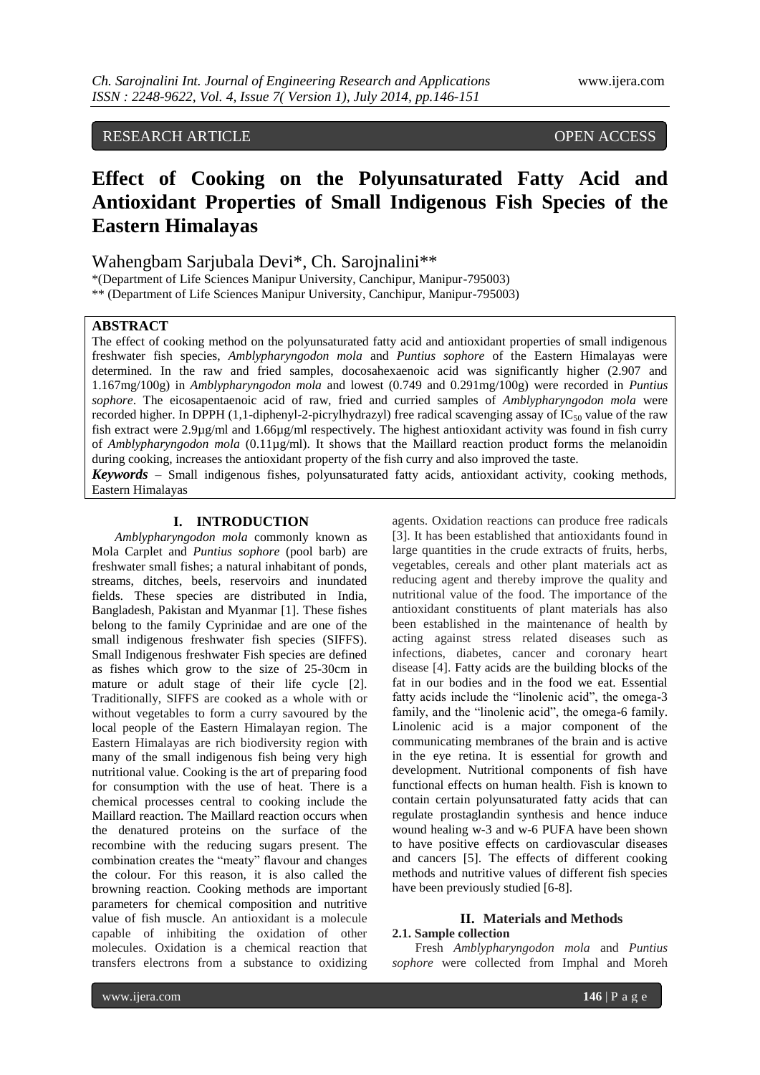# RESEARCH ARTICLE OPEN ACCESS

# **Effect of Cooking on the Polyunsaturated Fatty Acid and Antioxidant Properties of Small Indigenous Fish Species of the Eastern Himalayas**

Wahengbam Sarjubala Devi\*, Ch. Sarojnalini\*\*

\*(Department of Life Sciences Manipur University, Canchipur, Manipur-795003) \*\* (Department of Life Sciences Manipur University, Canchipur, Manipur-795003)

#### **ABSTRACT**

The effect of cooking method on the polyunsaturated fatty acid and antioxidant properties of small indigenous freshwater fish species, *Amblypharyngodon mola* and *Puntius sophore* of the Eastern Himalayas were determined. In the raw and fried samples, docosahexaenoic acid was significantly higher (2.907 and 1.167mg/100g) in *Amblypharyngodon mola* and lowest (0.749 and 0.291mg/100g) were recorded in *Puntius sophore*. The eicosapentaenoic acid of raw, fried and curried samples of *Amblypharyngodon mola* were recorded higher. In DPPH (1,1-diphenyl-2-picrylhydrazyl) free radical scavenging assay of  $IC_{50}$  value of the raw fish extract were 2.9µg/ml and 1.66µg/ml respectively. The highest antioxidant activity was found in fish curry of *Amblypharyngodon mola* (0.11µg/ml). It shows that the Maillard reaction product forms the melanoidin during cooking, increases the antioxidant property of the fish curry and also improved the taste.

*Keywords* – Small indigenous fishes*,* polyunsaturated fatty acids, antioxidant activity, cooking methods, Eastern Himalayas

#### **I. INTRODUCTION**

*Amblypharyngodon mola* commonly known as Mola Carplet and *Puntius sophore* (pool barb) are freshwater small fishes; a natural inhabitant of ponds, streams, ditches, beels, reservoirs and inundated fields. These species are distributed in India, Bangladesh, Pakistan and Myanmar [1]. These fishes belong to the family Cyprinidae and are one of the small indigenous freshwater fish species (SIFFS). Small Indigenous freshwater Fish species are defined as fishes which grow to the size of 25-30cm in mature or adult stage of their life cycle [2]. Traditionally, SIFFS are cooked as a whole with or without vegetables to form a curry savoured by the local people of the Eastern Himalayan region. The Eastern Himalayas are rich biodiversity region with many of the small indigenous fish being very high nutritional value. Cooking is the art of preparing food for consumption with the use of heat. There is a chemical processes central to cooking include the Maillard reaction. The Maillard reaction occurs when the denatured proteins on the surface of the recombine with the reducing sugars present. The combination creates the "meaty" flavour and changes the colour. For this reason, it is also called the browning reaction. Cooking methods are important parameters for chemical composition and nutritive value of fish muscle. An antioxidant is a molecule capable of inhibiting the oxidation of other molecules. Oxidation is a chemical reaction that transfers electrons from a substance to oxidizing

agents. Oxidation reactions can produce free radicals [3]. It has been established that antioxidants found in large quantities in the crude extracts of fruits, herbs, vegetables, cereals and other plant materials act as reducing agent and thereby improve the quality and nutritional value of the food. The importance of the antioxidant constituents of plant materials has also been established in the maintenance of health by acting against stress related diseases such as infections, diabetes, cancer and coronary heart disease [4]. Fatty acids are the building blocks of the fat in our bodies and in the food we eat. Essential fatty acids include the "linolenic acid", the omega-3 family, and the "linolenic acid", the omega-6 family. Linolenic acid is a major component of the communicating membranes of the brain and is active in the eye retina. It is essential for growth and development. Nutritional components of fish have functional effects on human health. Fish is known to contain certain polyunsaturated fatty acids that can regulate prostaglandin synthesis and hence induce wound healing w-3 and w-6 PUFA have been shown to have positive effects on cardiovascular diseases and cancers [5]. The effects of different cooking methods and nutritive values of different fish species have been previously studied [6-8].

# **II. Materials and Methods**

#### **2.1. Sample collection**

Fresh *Amblypharyngodon mola* and *Puntius sophore* were collected from Imphal and Moreh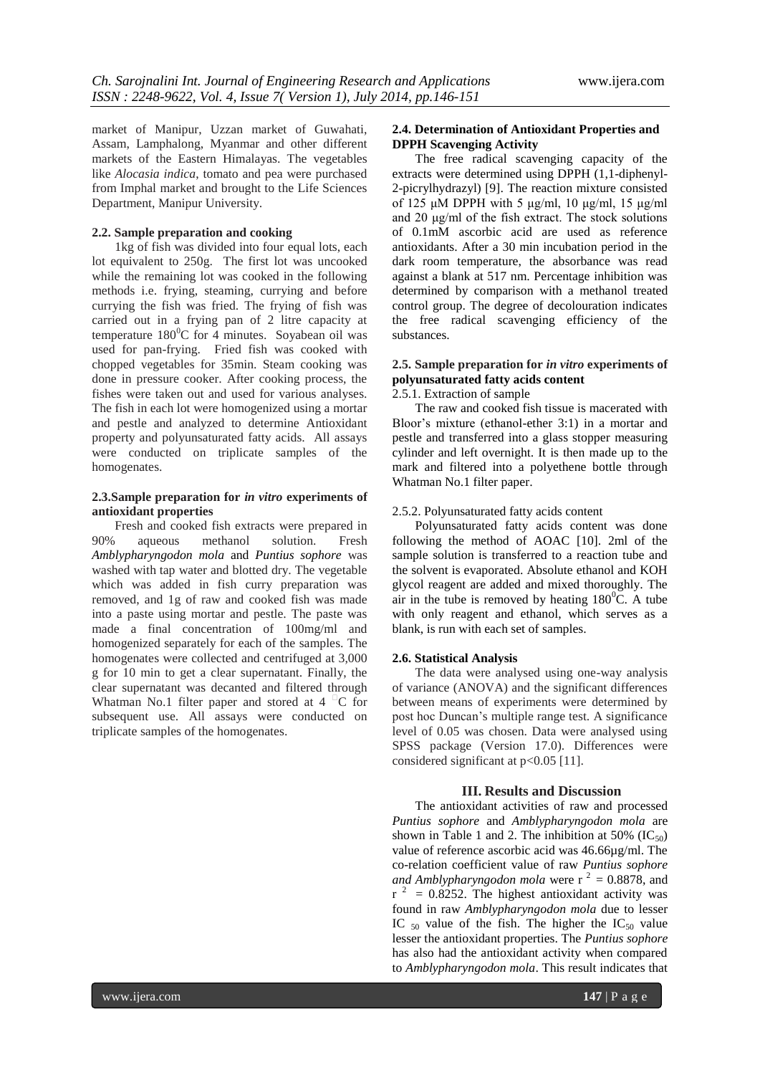market of Manipur, Uzzan market of Guwahati, Assam, Lamphalong, Myanmar and other different markets of the Eastern Himalayas. The vegetables like *Alocasia indica*, tomato and pea were purchased from Imphal market and brought to the Life Sciences Department, Manipur University.

#### **2.2. Sample preparation and cooking**

1kg of fish was divided into four equal lots, each lot equivalent to 250g. The first lot was uncooked while the remaining lot was cooked in the following methods i.e. frying, steaming, currying and before currying the fish was fried. The frying of fish was carried out in a frying pan of 2 litre capacity at temperature  $180^{\circ}$ C for 4 minutes. Soyabean oil was used for pan-frying. Fried fish was cooked with chopped vegetables for 35min. Steam cooking was done in pressure cooker. After cooking process, the fishes were taken out and used for various analyses. The fish in each lot were homogenized using a mortar and pestle and analyzed to determine Antioxidant property and polyunsaturated fatty acids. All assays were conducted on triplicate samples of the homogenates.

#### **2.3.Sample preparation for** *in vitro* **experiments of antioxidant properties**

Fresh and cooked fish extracts were prepared in 90% aqueous methanol solution. Fresh *Amblypharyngodon mola* and *Puntius sophore* was washed with tap water and blotted dry. The vegetable which was added in fish curry preparation was removed, and 1g of raw and cooked fish was made into a paste using mortar and pestle. The paste was made a final concentration of 100mg/ml and homogenized separately for each of the samples. The homogenates were collected and centrifuged at 3,000 g for 10 min to get a clear supernatant. Finally, the clear supernatant was decanted and filtered through Whatman No.1 filter paper and stored at  $4 \text{ }^{\degree}C$  for subsequent use. All assays were conducted on triplicate samples of the homogenates.

#### **2.4. Determination of Antioxidant Properties and DPPH Scavenging Activity**

The free radical scavenging capacity of the extracts were determined using DPPH (1,1-diphenyl-2-picrylhydrazyl) [9]. The reaction mixture consisted of 125 μM DPPH with 5 μg/ml, 10 μg/ml, 15 μg/ml and 20 μg/ml of the fish extract. The stock solutions of 0.1mM ascorbic acid are used as reference antioxidants. After a 30 min incubation period in the dark room temperature, the absorbance was read against a blank at 517 nm. Percentage inhibition was determined by comparison with a methanol treated control group. The degree of decolouration indicates the free radical scavenging efficiency of the substances.

# **2.5. Sample preparation for** *in vitro* **experiments of polyunsaturated fatty acids content**

## 2.5.1. Extraction of sample

The raw and cooked fish tissue is macerated with Bloor's mixture (ethanol-ether 3:1) in a mortar and pestle and transferred into a glass stopper measuring cylinder and left overnight. It is then made up to the mark and filtered into a polyethene bottle through Whatman No.1 filter paper.

#### 2.5.2. Polyunsaturated fatty acids content

Polyunsaturated fatty acids content was done following the method of AOAC [10]. 2ml of the sample solution is transferred to a reaction tube and the solvent is evaporated. Absolute ethanol and KOH glycol reagent are added and mixed thoroughly. The air in the tube is removed by heating  $180^{\circ}$ C. A tube with only reagent and ethanol, which serves as a blank, is run with each set of samples.

#### **2.6. Statistical Analysis**

The data were analysed using one-way analysis of variance (ANOVA) and the significant differences between means of experiments were determined by post hoc Duncan's multiple range test. A significance level of 0.05 was chosen. Data were analysed using SPSS package (Version 17.0). Differences were considered significant at p<0.05 [11].

#### **III. Results and Discussion**

The antioxidant activities of raw and processed *Puntius sophore* and *Amblypharyngodon mola* are shown in Table 1 and 2. The inhibition at 50% ( $IC_{50}$ ) value of reference ascorbic acid was 46.66µg/ml. The co-relation coefficient value of raw *Puntius sophore and Amblypharyngodon mola* were  $r^2 = 0.8878$ , and  $r^2$  = 0.8252. The highest antioxidant activity was found in raw *Amblypharyngodon mola* due to lesser IC  $_{50}$  value of the fish. The higher the IC<sub>50</sub> value lesser the antioxidant properties. The *Puntius sophore*  has also had the antioxidant activity when compared to *Amblypharyngodon mola*. This result indicates that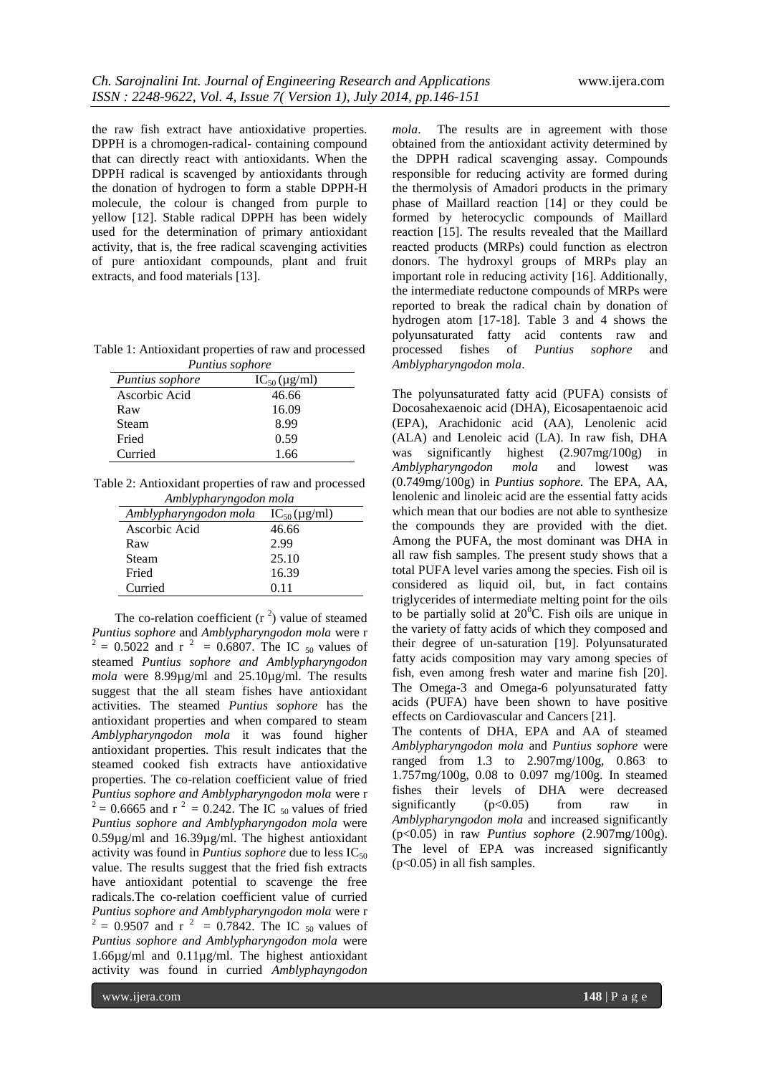the raw fish extract have antioxidative properties. DPPH is a chromogen-radical- containing compound that can directly react with antioxidants. When the DPPH radical is scavenged by antioxidants through the donation of hydrogen to form a stable DPPH-H molecule, the colour is changed from purple to yellow [12]. Stable radical DPPH has been widely used for the determination of primary antioxidant activity, that is, the free radical scavenging activities of pure antioxidant compounds, plant and fruit extracts, and food materials [13].

Table 1: Antioxidant properties of raw and processed *Puntius sophore*

| <i>Puntius sophore</i> | $IC_{50}$ (µg/ml) |
|------------------------|-------------------|
| Ascorbic Acid          | 46.66             |
| Raw                    | 16.09             |
| Steam                  | 8.99              |
| Fried                  | 0.59              |
| Curried                | 1.66              |

Table 2: Antioxidant properties of raw and processed *Amblypharyngodon mola*

| Amblypharyngodon mola | $IC_{50}$ (µg/ml) |
|-----------------------|-------------------|
| Ascorbic Acid         | 46.66             |
| Raw                   | 2.99              |
| Steam                 | 25.10             |
| Fried                 | 16.39             |
| Curried               | 0.11              |

The co-relation coefficient  $(r^2)$  value of steamed *Puntius sophore* and *Amblypharyngodon mola* were r  $^{2}$  = 0.5022 and r <sup>2</sup> = 0.6807. The IC <sub>50</sub> values of steamed *Puntius sophore and Amblypharyngodon mola* were 8.99µg/ml and 25.10µg/ml. The results suggest that the all steam fishes have antioxidant activities. The steamed *Puntius sophore* has the antioxidant properties and when compared to steam *Amblypharyngodon mola* it was found higher antioxidant properties. This result indicates that the steamed cooked fish extracts have antioxidative properties. The co-relation coefficient value of fried *Puntius sophore and Amblypharyngodon mola* were r  $^{2}$  = 0.6665 and r <sup>2</sup> = 0.242. The IC <sub>50</sub> values of fried *Puntius sophore and Amblypharyngodon mola* were 0.59µg/ml and 16.39µg/ml. The highest antioxidant activity was found in *Puntius sophore* due to less  $IC_{50}$ value. The results suggest that the fried fish extracts have antioxidant potential to scavenge the free radicals.The co-relation coefficient value of curried *Puntius sophore and Amblypharyngodon mola* were r  $^{2}$  = 0.9507 and r <sup>2</sup> = 0.7842. The IC <sub>50</sub> values of *Puntius sophore and Amblypharyngodon mola* were 1.66µg/ml and 0.11µg/ml. The highest antioxidant activity was found in curried *Amblyphayngodon* 

*mola*. The results are in agreement with those obtained from the antioxidant activity determined by the DPPH radical scavenging assay. Compounds responsible for reducing activity are formed during the thermolysis of Amadori products in the primary phase of Maillard reaction [14] or they could be formed by heterocyclic compounds of Maillard reaction [15]. The results revealed that the Maillard reacted products (MRPs) could function as electron donors. The hydroxyl groups of MRPs play an important role in reducing activity [16]. Additionally, the intermediate reductone compounds of MRPs were reported to break the radical chain by donation of hydrogen atom [17-18]. Table 3 and 4 shows the polyunsaturated fatty acid contents raw and processed fishes of *Puntius sophore* and *Amblypharyngodon mola*.

The polyunsaturated fatty acid (PUFA) consists of Docosahexaenoic acid (DHA), Eicosapentaenoic acid (EPA), Arachidonic acid (AA), Lenolenic acid (ALA) and Lenoleic acid (LA). In raw fish, DHA was significantly highest  $(2.907mg/100g)$  in was significantly highest (2.907mg/100g) in<br>Amblypharyngodon mola and lowest was *Amblypharyngodon mola* and lowest was (0.749mg/100g) in *Puntius sophore.* The EPA, AA, lenolenic and linoleic acid are the essential fatty acids which mean that our bodies are not able to synthesize the compounds they are provided with the diet. Among the PUFA, the most dominant was DHA in all raw fish samples. The present study shows that a total PUFA level varies among the species. Fish oil is considered as liquid oil, but, in fact contains triglycerides of intermediate melting point for the oils to be partially solid at  $20^{\circ}$ C. Fish oils are unique in the variety of fatty acids of which they composed and their degree of un-saturation [19]. Polyunsaturated fatty acids composition may vary among species of fish, even among fresh water and marine fish [20]. The Omega-3 and Omega-6 polyunsaturated fatty acids (PUFA) have been shown to have positive effects on Cardiovascular and Cancers [21].

The contents of DHA, EPA and AA of steamed *Amblypharyngodon mola* and *Puntius sophore* were ranged from 1.3 to 2.907mg/100g, 0.863 to 1.757mg/100g, 0.08 to 0.097 mg/100g. In steamed fishes their levels of DHA were decreased significantly  $(p<0.05)$  from raw in *Amblypharyngodon mola* and increased significantly (p<0.05) in raw *Puntius sophore* (2.907mg/100g). The level of EPA was increased significantly  $(p<0.05)$  in all fish samples.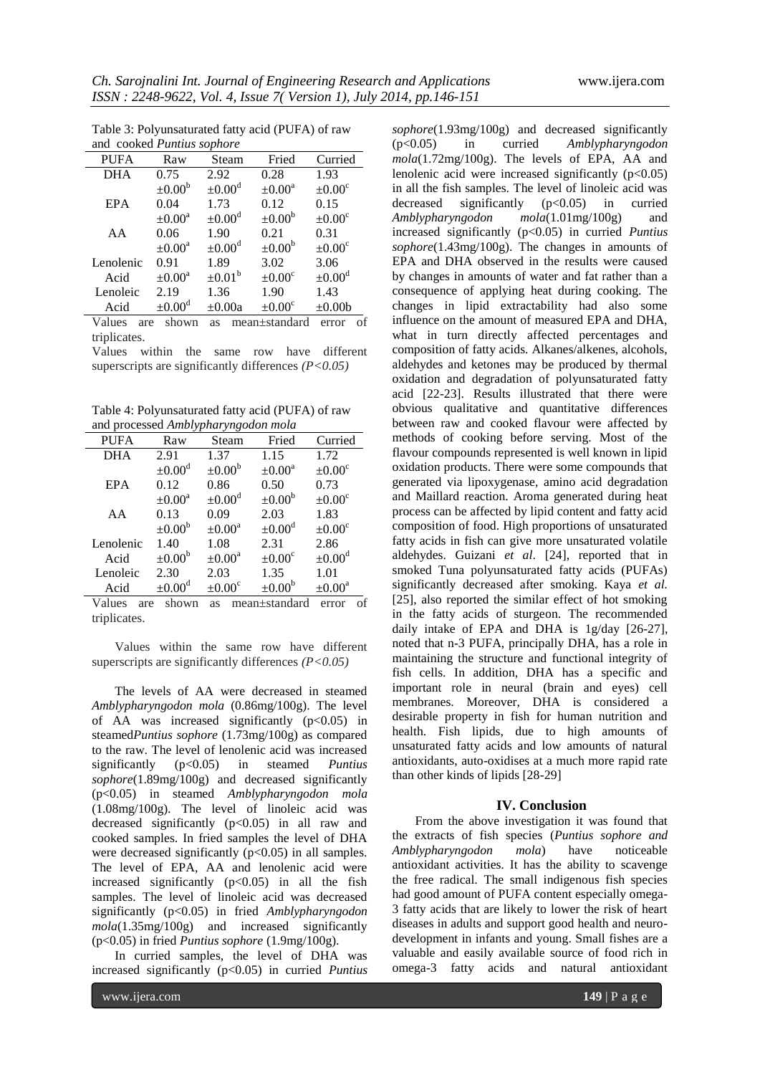| and cooked Puntius sophore                                      |                         |                         |                    |                         |  |  |
|-----------------------------------------------------------------|-------------------------|-------------------------|--------------------|-------------------------|--|--|
| <b>PUFA</b>                                                     | Raw                     | Steam                   | Fried              | Curried                 |  |  |
| <b>DHA</b>                                                      | 0.75                    | 2.92                    | 0.28               | 1.93                    |  |  |
|                                                                 | $\pm 0.00^{\rm b}$      | $\pm 0.00^{\text{d}}$   | $\pm 0.00^a$       | $\pm 0.00^{\circ}$      |  |  |
| <b>EPA</b>                                                      | 0.04                    | 1.73                    | 0.12               | 0.15                    |  |  |
|                                                                 | $\pm 0.00^{\text{a}}$   | $\pm 0.00^{\mathrm{d}}$ | $\pm 0.00^{\rm b}$ | $\pm 0.00^{\circ}$      |  |  |
| AA                                                              | 0.06                    | 1.90                    | 0.21               | 0.31                    |  |  |
|                                                                 | $\pm 0.00^{\text{a}}$   | $\pm 0.00^{\rm d}$      | $\pm 0.00^{\rm b}$ | $\pm 0.00^{\circ}$      |  |  |
| Lenolenic                                                       | 0.91                    | 1.89                    | 3.02               | 3.06                    |  |  |
| Acid                                                            | $\pm 0.00^{\circ}$      | $\pm 0.01^{\rm b}$      | $\pm 0.00^{\circ}$ | $\pm 0.00^{\mathrm{d}}$ |  |  |
| Lenoleic                                                        | 2.19                    | 1.36                    | 1.90               | 1.43                    |  |  |
| Acid                                                            | $\pm 0.00^{\mathrm{d}}$ | $\pm 0.00a$             | $\pm 0.00^{\circ}$ | $\pm 0.00b$             |  |  |
| $-1$ $-$<br>$\mathbf{Y} \mathbf{Z}$ . The state of $\mathbf{Y}$ |                         |                         |                    |                         |  |  |

Table 3: Polyunsaturated fatty acid (PUFA) of raw

Values are shown as mean±standard error of triplicates.

Values within the same row have different superscripts are significantly differences *(P<0.05)*

Table 4: Polyunsaturated fatty acid (PUFA) of raw and processed *Amblypharyngodon mola*

| $, \ldots,$ |                         |                         |                         |                         |  |  |
|-------------|-------------------------|-------------------------|-------------------------|-------------------------|--|--|
| <b>PUFA</b> | Raw                     | Steam                   | Fried                   | Curried                 |  |  |
| <b>DHA</b>  | 2.91                    | 1.37                    | 1.15                    | 1.72                    |  |  |
|             | $\pm 0.00^{\mathrm{d}}$ | $\pm 0.00^{\rm b}$      | $\pm 0.00^{\text{a}}$   | $\pm 0.00^{\circ}$      |  |  |
| <b>EPA</b>  | 0.12                    | 0.86                    | 0.50                    | 0.73                    |  |  |
|             | $\pm 0.00^{\rm a}$      | $\pm 0.00^{\mathrm{d}}$ | $\pm 0.00^{\rm b}$      | $\pm 0.00^{\circ}$      |  |  |
| AA          | 0.13                    | 0.09                    | 2.03                    | 1.83                    |  |  |
|             | $\pm 0.00^{\rm b}$      | $\pm 0.00^{\text{a}}$   | $\pm 0.00^{\mathrm{d}}$ | $\pm 0.00^{\circ}$      |  |  |
| Lenolenic   | 1.40                    | 1.08                    | 2.31                    | 2.86                    |  |  |
| Acid        | $\pm 0.00^{\rm b}$      | $\pm 0.00^{\text{a}}$   | $\pm 0.00^{\circ}$      | $\pm 0.00^{\mathrm{d}}$ |  |  |
| Lenoleic    | 2.30                    | 2.03                    | 1.35                    | 1.01                    |  |  |
| Acid        | $\pm 0.00^{\mathrm{d}}$ | $\pm 0.00^{\circ}$      | $\pm 0.00^{\rm b}$      | $\pm 0.00^{\text{a}}$   |  |  |

Values are shown as mean±standard error of triplicates.

Values within the same row have different superscripts are significantly differences *(P<0.05)*

The levels of AA were decreased in steamed *Amblypharyngodon mola* (0.86mg/100g). The level of AA was increased significantly  $(p<0.05)$  in steamed*Puntius sophore* (1.73mg/100g) as compared to the raw. The level of lenolenic acid was increased significantly (p<0.05) in steamed *Puntius sophore*(1.89mg/100g) and decreased significantly (p<0.05) in steamed *Amblypharyngodon mola* (1.08mg/100g)*.* The level of linoleic acid was decreased significantly  $(p<0.05)$  in all raw and cooked samples. In fried samples the level of DHA were decreased significantly  $(p<0.05)$  in all samples. The level of EPA, AA and lenolenic acid were increased significantly  $(p<0.05)$  in all the fish samples. The level of linoleic acid was decreased significantly (p<0.05) in fried *Amblypharyngodon mola*(1.35mg/100g) and increased significantly (p<0.05) in fried *Puntius sophore* (1.9mg/100g)*.*

In curried samples, the level of DHA was increased significantly (p<0.05) in curried *Puntius* 

www.ijera.com **149** | P a g e

*sophore*(1.93mg/100g) and decreased significantly (p<0.05) in curried *Amblypharyngodon mola*(1.72mg/100g). The levels of EPA, AA and lenolenic acid were increased significantly  $(p<0.05)$ in all the fish samples. The level of linoleic acid was<br>decreased significantly  $(p<0.05)$  in curried decreased significantly  $(p<0.05)$  in<br>Amblypharyngodon mola(1.01mg/100g)  $mola(1.01mg/100g)$  and increased significantly (p<0.05) in curried *Puntius sophore*(1.43mg/100g). The changes in amounts of EPA and DHA observed in the results were caused by changes in amounts of water and fat rather than a consequence of applying heat during cooking. The changes in lipid extractability had also some influence on the amount of measured EPA and DHA, what in turn directly affected percentages and composition of fatty acids. Alkanes/alkenes, alcohols, aldehydes and ketones may be produced by thermal oxidation and degradation of polyunsaturated fatty acid [22-23]. Results illustrated that there were obvious qualitative and quantitative differences between raw and cooked flavour were affected by methods of cooking before serving. Most of the flavour compounds represented is well known in lipid oxidation products. There were some compounds that generated via lipoxygenase, amino acid degradation and Maillard reaction. Aroma generated during heat process can be affected by lipid content and fatty acid composition of food. High proportions of unsaturated fatty acids in fish can give more unsaturated volatile aldehydes. Guizani *et al*. [24], reported that in smoked Tuna polyunsaturated fatty acids (PUFAs) significantly decreased after smoking. Kaya *et al.*  [25], also reported the similar effect of hot smoking in the fatty acids of sturgeon. The recommended daily intake of EPA and DHA is 1g/day [26-27], noted that n-3 PUFA, principally DHA, has a role in maintaining the structure and functional integrity of fish cells. In addition, DHA has a specific and important role in neural (brain and eyes) cell membranes. Moreover, DHA is considered a desirable property in fish for human nutrition and health. Fish lipids, due to high amounts of unsaturated fatty acids and low amounts of natural antioxidants, auto-oxidises at a much more rapid rate than other kinds of lipids [28-29]

### **IV. Conclusion**

From the above investigation it was found that the extracts of fish species (*Puntius sophore and Amblypharyngodon mola*) have noticeable antioxidant activities. It has the ability to scavenge the free radical. The small indigenous fish species had good amount of PUFA content especially omega-3 fatty acids that are likely to lower the risk of heart diseases in adults and support good health and neurodevelopment in infants and young. Small fishes are a valuable and easily available source of food rich in omega-3 fatty acids and natural antioxidant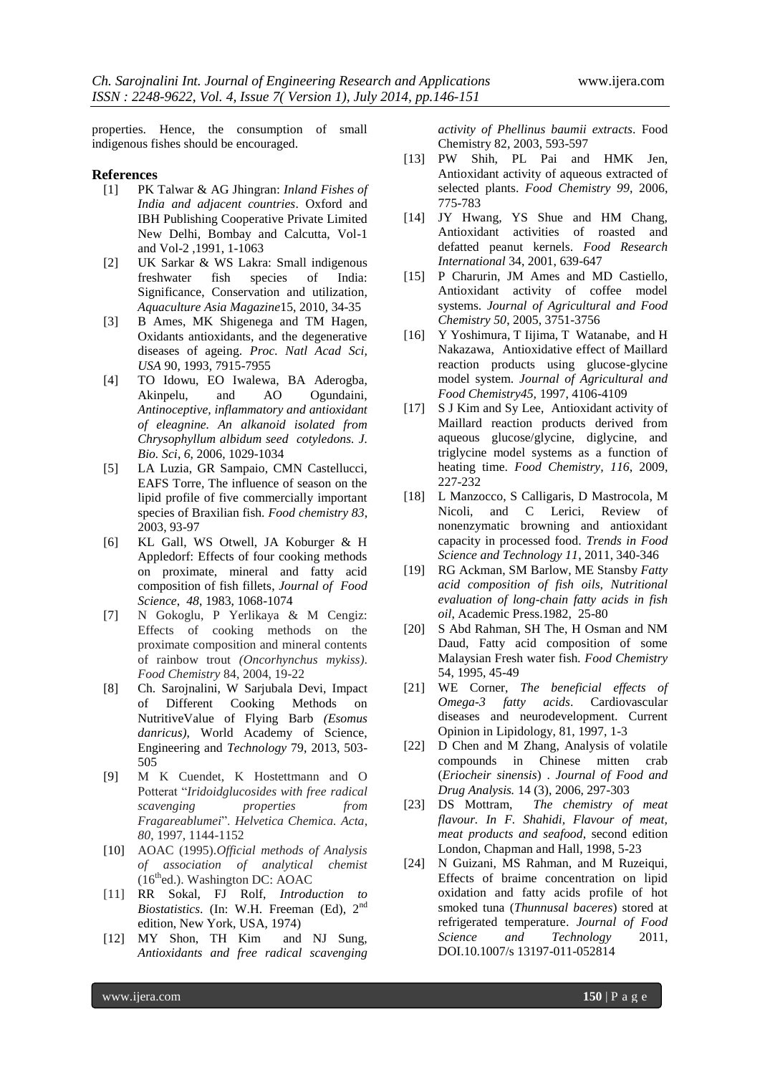properties. Hence, the consumption of small indigenous fishes should be encouraged.

# **References**<br>[1] PK

- [1] PK Talwar & AG Jhingran: *Inland Fishes of India and adjacent countries*. Oxford and IBH Publishing Cooperative Private Limited New Delhi, Bombay and Calcutta, Vol-1 and Vol-2 ,1991, 1-1063
- [2] UK Sarkar & WS Lakra: Small indigenous freshwater fish species of India: Significance, Conservation and utilization, *Aquaculture Asia Magazine*15, 2010, 34-35
- [3] B Ames, MK Shigenega and TM Hagen, Oxidants antioxidants, and the degenerative diseases of ageing. *Proc. Natl Acad Sci, USA* 90, 1993, 7915-7955
- [4] TO Idowu, EO Iwalewa, BA Aderogba, Akinpelu, and AO Ogundaini, *Antinoceptive, inflammatory and antioxidant of eleagnine. An alkanoid isolated from Chrysophyllum albidum seed cotyledons. J. Bio. Sci*, *6*, 2006, 1029-1034
- [5] LA Luzia, GR Sampaio, CMN Castellucci, EAFS Torre*,* The influence of season on the lipid profile of five commercially important species of Braxilian fish. *Food chemistry 83*, 2003, 93-97
- [6] KL Gall, WS Otwell, JA Koburger & H Appledorf: Effects of four cooking methods on proximate, mineral and fatty acid composition of fish fillets, *Journal of Food Science*, *48*, 1983, 1068-1074
- [7] N Gokoglu, P Yerlikaya & M Cengiz: Effects of cooking methods on the proximate composition and mineral contents of rainbow trout *(Oncorhynchus mykiss)*. *Food Chemistry* 84, 2004, 19-22
- [8] Ch. Sarojnalini, W Sarjubala Devi, Impact of Different Cooking Methods on NutritiveValue of Flying Barb *(Esomus danricus)*, World Academy of Science, Engineering and *Technology* 79, 2013, 503- 505
- [9] M K Cuendet, K Hostettmann and O Potterat "*Iridoidglucosides with free radical scavenging properties from Fragareablumei*". *Helvetica Chemica. Acta*, *80*, 1997, 1144-1152
- [10] AOAC (1995).*Official methods of Analysis of association of analytical chemist*  $(16<sup>th</sup>$ ed.). Washington DC: AOAC
- [11] RR Sokal, FJ Rolf, *Introduction to Biostatistics*. (In: W.H. Freeman (Ed), 2nd edition, New York, USA, 1974)
- [12] MY Shon, TH Kim and NJ Sung, *Antioxidants and free radical scavenging*

*activity of Phellinus baumii extracts*. Food Chemistry 82, 2003, 593-597

- [13] PW Shih, PL Pai and HMK Jen, Antioxidant activity of aqueous extracted of selected plants. *Food Chemistry 99*, 2006, 775-783
- [14] JY Hwang, YS Shue and HM Chang, Antioxidant activities of roasted and defatted peanut kernels. *Food Research International* 34, 2001, 639-647
- [15] P Charurin, JM Ames and MD Castiello, Antioxidant activity of coffee model systems. *Journal of Agricultural and Food Chemistry 50*, 2005, 3751-3756
- [16] Y Yoshimura, T Iijima, T Watanabe, and H Nakazawa, Antioxidative effect of Maillard reaction products using glucose-glycine model system. *Journal of Agricultural and Food Chemistry45,* 1997, 4106-4109
- [17] S J Kim and Sy Lee, Antioxidant activity of Maillard reaction products derived from aqueous glucose/glycine, diglycine, and triglycine model systems as a function of heating time. *Food Chemistry, 116*, 2009, 227-232
- [18] L Manzocco, S Calligaris, D Mastrocola, M Nicoli, and C Lerici, Review of nonenzymatic browning and antioxidant capacity in processed food. *Trends in Food Science and Technology 11*, 2011, 340-346
- [19] RG Ackman, SM Barlow, ME Stansby *Fatty acid composition of fish oils, Nutritional evaluation of long-chain fatty acids in fish oil*, Academic Press.1982, 25-80
- [20] S Abd Rahman, SH The, H Osman and NM Daud, Fatty acid composition of some Malaysian Fresh water fish*. Food Chemistry* 54, 1995, 45-49
- [21] WE Corner, *The beneficial effects of Omega-3 fatty acids*. Cardiovascular diseases and neurodevelopment. Current Opinion in Lipidology, 81, 1997, 1-3
- [22] D Chen and M Zhang, Analysis of volatile compounds in Chinese mitten crab (*Eriocheir sinensis*) . *Journal of Food and Drug Analysis.* 14 (3), 2006, 297-303
- [23] DS Mottram, *The chemistry of meat flavour. In F. Shahidi, Flavour of meat, meat products and seafood*, second edition London, Chapman and Hall, 1998, 5-23
- [24] N Guizani, MS Rahman, and M Ruzeiqui, Effects of braime concentration on lipid oxidation and fatty acids profile of hot smoked tuna (*Thunnusal baceres*) stored at refrigerated temperature. *Journal of Food Science and Technology* 2011, DOI.10.1007/s 13197-011-052814